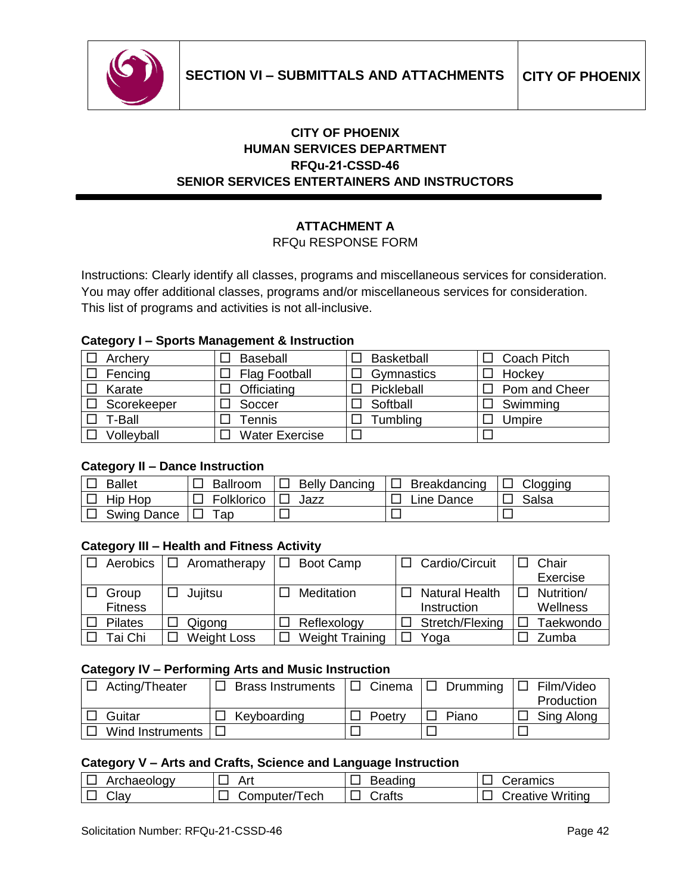

# **CITY OF PHOENIX HUMAN SERVICES DEPARTMENT RFQu-21-CSSD-46 SENIOR SERVICES ENTERTAINERS AND INSTRUCTORS**

# **ATTACHMENT A**

### RFQu RESPONSE FORM

Instructions: Clearly identify all classes, programs and miscellaneous services for consideration. You may offer additional classes, programs and/or miscellaneous services for consideration. This list of programs and activities is not all-inclusive.

### **Category I – Sports Management & Instruction**

| Archery     | Baseball              | <b>Basketball</b> | $\Box$ Coach Pitch   |
|-------------|-----------------------|-------------------|----------------------|
| Fencing     | <b>Flag Football</b>  | Gymnastics        | $\Box$ Hockey        |
| Karate      | Officiating           | Pickleball        | $\Box$ Pom and Cheer |
| Scorekeeper | Soccer                | Softball          | Swimming             |
| T-Ball      | Tennis                | <b>Tumbling</b>   | Umpire               |
| Volleyball  | <b>Water Exercise</b> |                   |                      |

### **Category II – Dance Instruction**

| <b>Ballet</b>        | $\Box$ Ballroom       | $ \Box$ Belly Dancing | $ \Box$ Breakdancing | $ \Box$ Clogging     |
|----------------------|-----------------------|-----------------------|----------------------|----------------------|
| $ \Box$ Hip Hop      | □ Folklorico   □ Jazz |                       | $\Box$ Line Dance    | I <sup>□</sup> Salsa |
| □ Swing Dance  □ Tap |                       |                       |                      |                      |

## **Category III – Health and Fitness Activity**

| Aerobics       | $\Box$ Aromatherapy | Boot Camp              | Cardio/Circuit        | Chair      |
|----------------|---------------------|------------------------|-----------------------|------------|
|                |                     |                        |                       | Exercise   |
| Group          | Jujitsu             | Meditation             | <b>Natural Health</b> | Nutrition/ |
| <b>Fitness</b> |                     |                        | Instruction           | Wellness   |
| <b>Pilates</b> | Qigong              | Reflexology            | Stretch/Flexing       | Taekwondo  |
| Tai Chi        | <b>Weight Loss</b>  | <b>Weight Training</b> | Yoga                  | Zumba      |

#### **Category IV – Performing Arts and Music Instruction**

| Acting/Theater   | <b>Brass Instruments</b> | □ Cinema | $\Box$ Drumming | Film/Video<br>I I I |
|------------------|--------------------------|----------|-----------------|---------------------|
|                  |                          |          |                 | Production          |
| Guitar           | Keyboarding              | Poetry   | Piano           | Sing Along          |
| Wind Instruments |                          |          |                 |                     |

# **Category V – Arts and Crafts, Science and Language Instruction**

| Archaeology | Art            | Beading        | Ceramics                |
|-------------|----------------|----------------|-------------------------|
| Clay        | Computer/Tech∶ | <b>ੇ</b> rafts | <b>Creative Writing</b> |